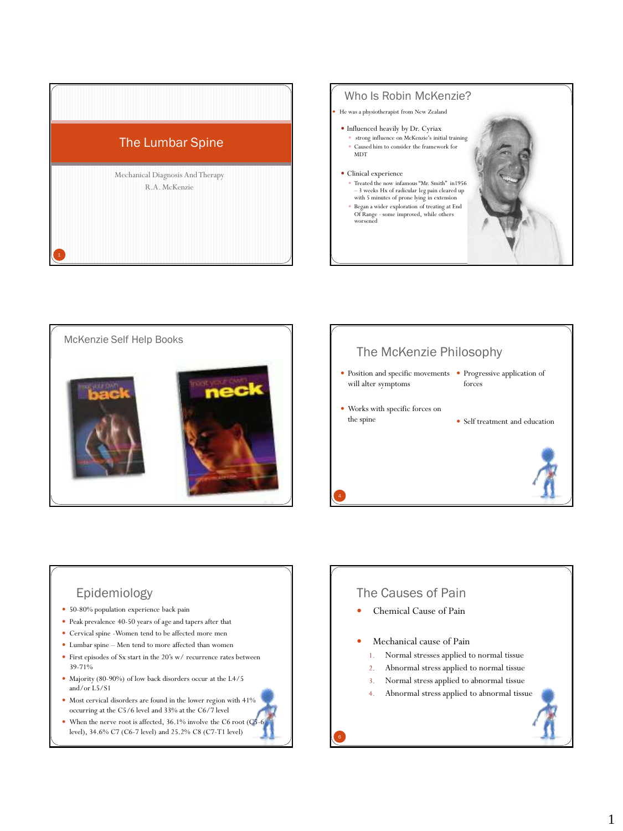

#### Who Is Robin McKenzie?

He was a physiotherapist from New Zealand

- Influenced heavily by Dr. Cyriax
	- strong influence on McKenzie's initial training Caused him to consider the framework for MDT

#### Clinical experience

- Treated the now infamous "Mr. Smith" in1956 – 3 weeks Hx of radicular leg pain cleared up with 5 minutes of prone lying in extension
- $\bullet~$  Began a wider exploration of treating at End Of Range - some improved, while others worsened





#### The McKenzie Philosophy

• Position and specific movements • Progressive application of will alter symptoms forces

 Works with specific forces on the spine

• Self treatment and education

# Epidemiology

- 50-80% population experience back pain
- Peak prevalence 40-50 years of age and tapers after that
- Cervical spine -Women tend to be affected more men
- Lumbar spine Men tend to more affected than women
- First episodes of Sx start in the 20's w/ recurrence rates between 39-71%
- Majority (80-90%) of low back disorders occur at the L4/5 and/or L5/S1
- Most cervical disorders are found in the lower region with 41% occurring at the C5/6 level and 33% at the C6/7 level
- When the nerve root is affected, 36.1% involve the C6 root (C5 level), 34.6% C7 (C6-7 level) and 25.2% C8 (C7-T1 level)

### The Causes of Pain

- Chemical Cause of Pain
- Mechanical cause of Pain
	- 1. Normal stresses applied to normal tissue
	- 2. Abnormal stress applied to normal tissue
	- 3. Normal stress applied to abnormal tissue
	- 4. Abnormal stress applied to abnormal tissue

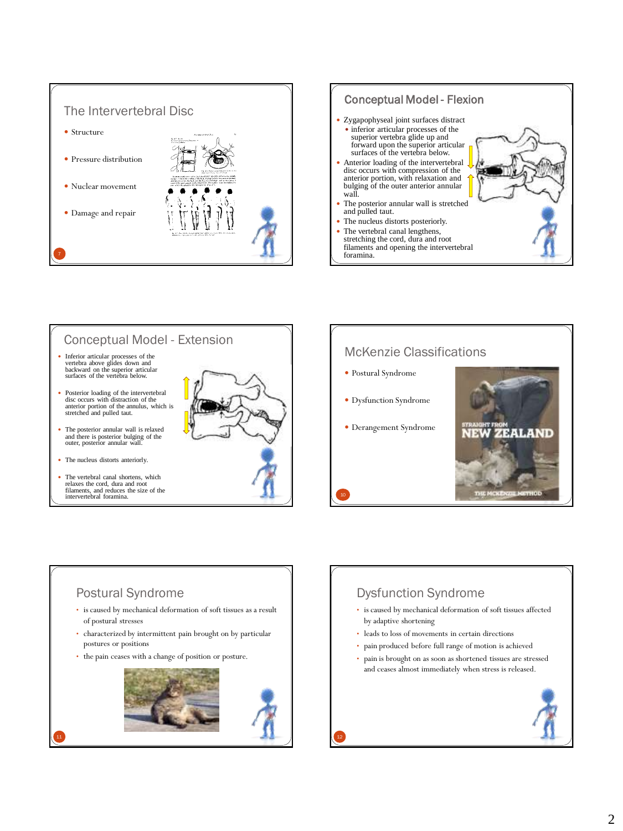



## Conceptual Model - Extension

- Inferior articular processes of the vertebra above glides down and backward on the superior articular surfaces of the vertebra below.
- Posterior loading of the intervertebral disc occurs with distraction of the anterior portion of the annulus, which is stretched and pulled taut.
- The posterior annular wall is relaxed and there is posterior bulging of the outer, posterior annular wall.
- The nucleus distorts anteriorly.
- The vertebral canal shortens, which relaxes the cord, dura and root filaments, and reduces the size of the intervertebral foramina.



#### McKenzie Classifications

 Postural Syndrome Dysfunction Syndrome Derangement Syndrome ZEALAND

### Postural Syndrome

- is caused by mechanical deformation of soft tissues as a result of postural stresses
- characterized by intermittent pain brought on by particular postures or positions
- the pain ceases with a change of position or posture.



# Dysfunction Syndrome

- is caused by mechanical deformation of soft tissues affected by adaptive shortening
- leads to loss of movements in certain directions
- pain produced before full range of motion is achieved
- pain is brought on as soon as shortened tissues are stressed and ceases almost immediately when stress is released.



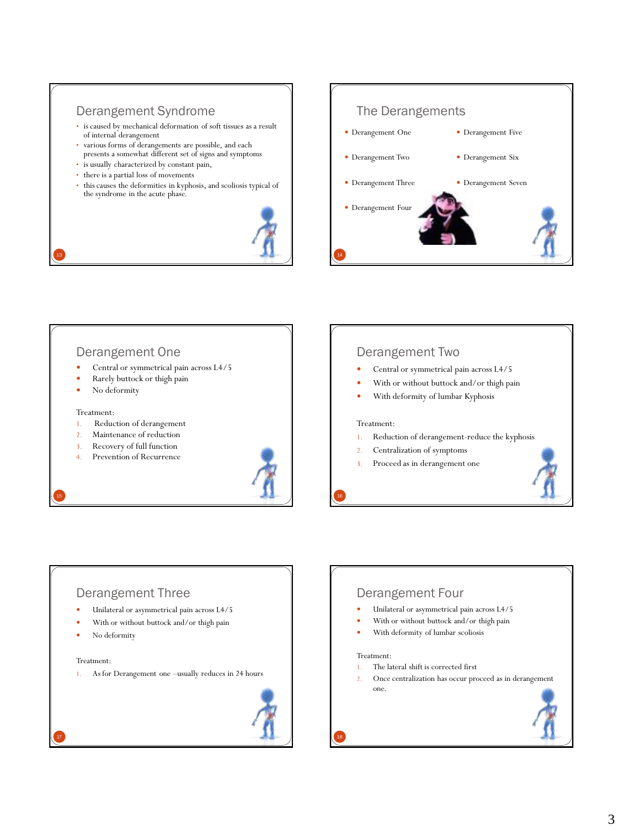### Derangement Syndrome

- is caused by mechanical deformation of soft tissues as a result of internal derangement
- various forms of derangements are possible, and each presents a somewhat different set of signs and symptoms
- is usually characterized by constant pain,
- there is a partial loss of movements
- this causes the deformities in kyphosis, and scoliosis typical of the syndrome in the acute phase.



#### The Derangements



#### Derangement One

- Central or symmetrical pain across L4/5
- Rarely buttock or thigh pain
- No deformity

#### Treatment:

13

- 1. Reduction of derangement
- 2. Maintenance of reduction
- 3. Recovery of full function
- 4. Prevention of Recurrence



#### Derangement Two

- Central or symmetrical pain across L4/5
- With or without buttock and/or thigh pain
- With deformity of lumbar Kyphosis

#### Treatment:

- 1. Reduction of derangement-reduce the kyphosis
- 2. Centralization of symptoms
- 3. Proceed as in derangement one



#### Derangement Three

- Unilateral or asymmetrical pain across L4/5
- With or without buttock and/or thigh pain
- No deformity

#### Treatment:

17

1. As for Derangement one –usually reduces in 24 hours



### Derangement Four

- Unilateral or asymmetrical pain across L4/5
- With or without buttock and/or thigh pain
- With deformity of lumbar scoliosis

#### Treatment:

- 1. The lateral shift is corrected first
- 2. Once centralization has occur proceed as in derangement one.



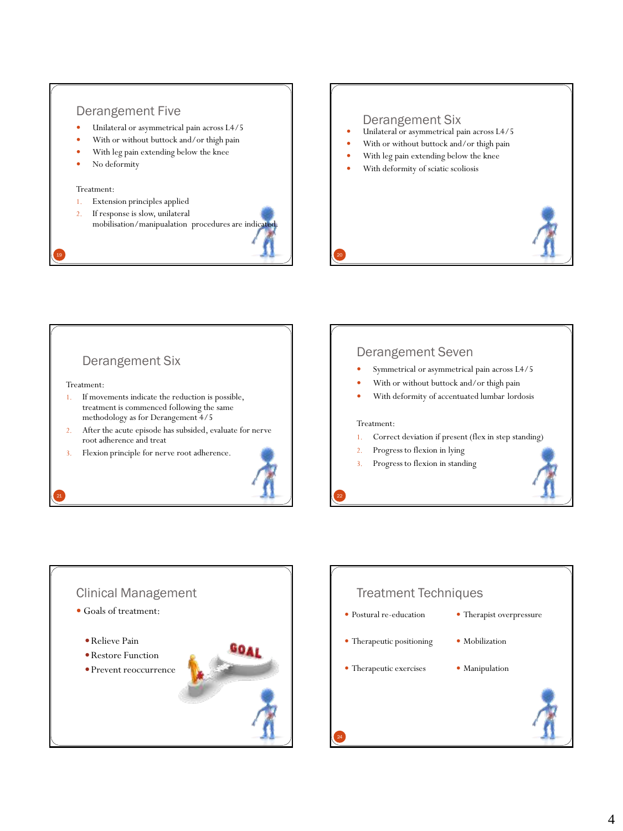### Derangement Five

- Unilateral or asymmetrical pain across L4/5
- With or without buttock and/or thigh pain
- With leg pain extending below the knee
- No deformity

#### Treatment:

- 1. Extension principles applied
- 2. If response is slow, unilateral mobilisation/manipualation procedures are indicate



#### Derangement Six

- Unilateral or asymmetrical pain across L4/5
- With or without buttock and/or thigh pain
- With leg pain extending below the knee
- With deformity of sciatic scoliosis



### Derangement Six

#### Treatment:

- 1. If movements indicate the reduction is possible, treatment is commenced following the same methodology as for Derangement 4/5
- 2. After the acute episode has subsided, evaluate for nerve root adherence and treat
- Flexion principle for nerve root adherence.



#### Derangement Seven

- Symmetrical or asymmetrical pain across L4/5
- With or without buttock and/or thigh pain
- With deformity of accentuated lumbar lordosis

#### Treatment:

- 1. Correct deviation if present (flex in step standing)
- 2. Progress to flexion in lying
- 3. Progress to flexion in standing





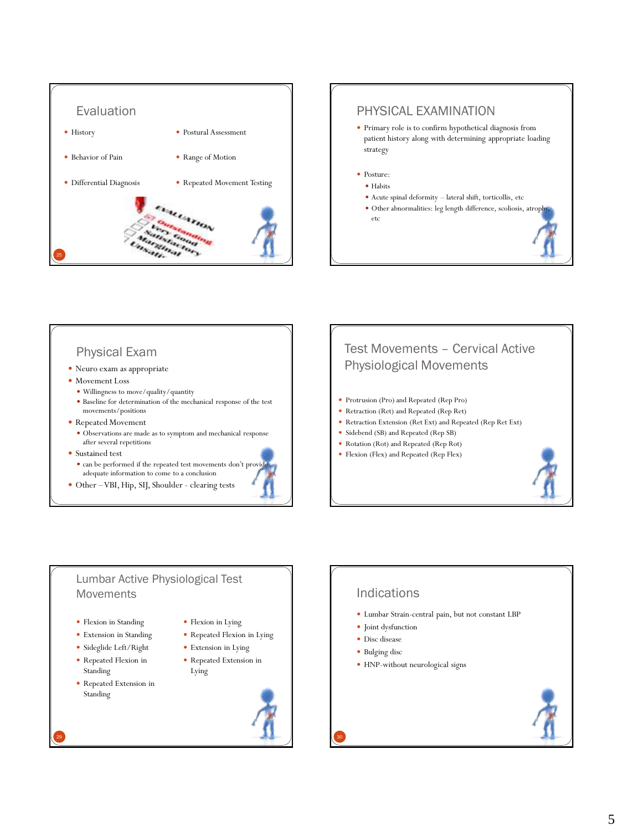

# PHYSICAL EXAMINATION Primary role is to confirm hypothetical diagnosis from patient history along with determining appropriate loading strategy • Posture: • Habits Acute spinal deformity – lateral shift, torticollis, etc Other abnormalities: leg length difference, scoliosis, atrophy, etc

### Physical Exam

- Neuro exam as appropriate
- Movement Loss
	- Willingness to move/quality/quantity
	- Baseline for determination of the mechanical response of the test movements/positions
- Repeated Movement
	- Observations are made as to symptom and mechanical response after several repetitions
- Sustained test
	- can be performed if the repeated test movements don't provide adequate information to come to a conclusion
- Other –VBI, Hip, SIJ, Shoulder clearing tests

# Test Movements – Cervical Active Physiological Movements

- Protrusion (Pro) and Repeated (Rep Pro)
- Retraction (Ret) and Repeated (Rep Ret)
- Retraction Extension (Ret Ext) and Repeated (Rep Ret Ext)
- Sidebend (SB) and Repeated (Rep SB)
- Rotation (Rot) and Repeated (Rep Rot)
- Flexion (Flex) and Repeated (Rep Flex)



#### Lumbar Active Physiological Test Movements

- Flexion in Standing
- Extension in Standing
- Sideglide Left/Right
- Repeated Flexion in Standing
- Repeated Extension in Standing



- Repeated Flexion in Lying
- Extension in Lying
- Repeated Extension in
	- Lying



### Indications

- Lumbar Strain-central pain, but not constant LBP
- Joint dysfunction
- Disc disease
- Bulging disc
- HNP-without neurological signs